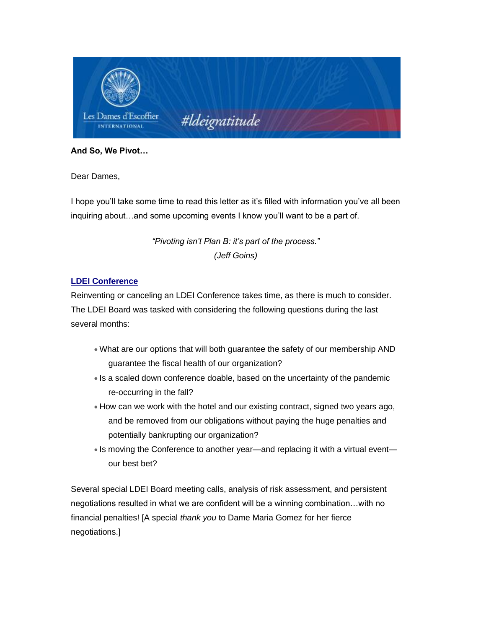

**And So, We Pivot…**

Dear Dames,

I hope you'll take some time to read this letter as it's filled with information you've all been inquiring about…and some upcoming events I know you'll want to be a part of.

> *"Pivoting isn't Plan B: it's part of the process." (Jeff Goins)*

# **LDEI Conference**

Reinventing or canceling an LDEI Conference takes time, as there is much to consider. The LDEI Board was tasked with considering the following questions during the last several months:

- What are our options that will both guarantee the safety of our membership AND guarantee the fiscal health of our organization?
- Is a scaled down conference doable, based on the uncertainty of the pandemic re-occurring in the fall?
- How can we work with the hotel and our existing contract, signed two years ago, and be removed from our obligations without paying the huge penalties and potentially bankrupting our organization?
- Is moving the Conference to another year—and replacing it with a virtual event our best bet?

Several special LDEI Board meeting calls, analysis of risk assessment, and persistent negotiations resulted in what we are confident will be a winning combination…with no financial penalties! [A special *thank you* to Dame Maria Gomez for her fierce negotiations.]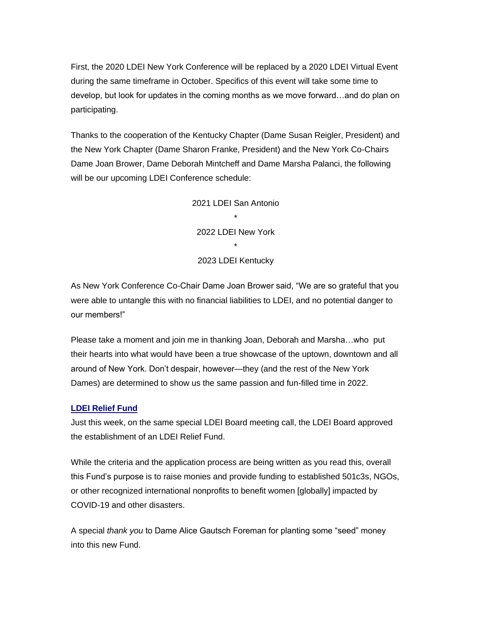First, the 2020 LDEI New York Conference will be replaced by a 2020 LDEI Virtual Event during the same timeframe in October. Specifics of this event will take some time to develop, but look for updates in the coming months as we move forward…and do plan on participating.

Thanks to the cooperation of the Kentucky Chapter (Dame Susan Reigler, President) and the New York Chapter (Dame Sharon Franke, President) and the New York Co-Chairs Dame Joan Brower, Dame Deborah Mintcheff and Dame Marsha Palanci, the following will be our upcoming LDEI Conference schedule:

> 2021 LDEI San Antonio \* 2022 LDEI New York \* 2023 LDEI Kentucky

As New York Conference Co-Chair Dame Joan Brower said, "We are so grateful that you were able to untangle this with no financial liabilities to LDEI, and no potential danger to our members!"

Please take a moment and join me in thanking Joan, Deborah and Marsha…who put their hearts into what would have been a true showcase of the uptown, downtown and all around of New York. Don't despair, however—they (and the rest of the New York Dames) are determined to show us the same passion and fun-filled time in 2022.

#### **LDEI Relief Fund**

Just this week, on the same special LDEI Board meeting call, the LDEI Board approved the establishment of an LDEI Relief Fund.

While the criteria and the application process are being written as you read this, overall this Fund's purpose is to raise monies and provide funding to established 501c3s, NGOs, or other recognized international nonprofits to benefit women [globally] impacted by COVID-19 and other disasters.

A special *thank you* to Dame Alice Gautsch Foreman for planting some "seed" money into this new Fund.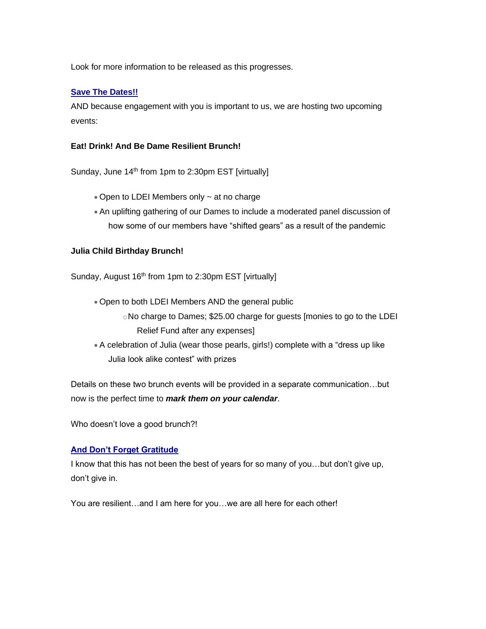Look for more information to be released as this progresses.

### **Save The Dates!!**

AND because engagement with you is important to us, we are hosting two upcoming events:

### **Eat! Drink! And Be Dame Resilient Brunch!**

Sunday, June 14<sup>th</sup> from 1pm to 2:30pm EST [virtually]

- Open to LDEI Members only ~ at no charge
- An uplifting gathering of our Dames to include a moderated panel discussion of how some of our members have "shifted gears" as a result of the pandemic

#### **Julia Child Birthday Brunch!**

Sunday, August 16<sup>th</sup> from 1pm to 2:30pm EST [virtually]

- Open to both LDEI Members AND the general public
	- oNo charge to Dames; \$25.00 charge for guests [monies to go to the LDEI Relief Fund after any expenses]
- A celebration of Julia (wear those pearls, girls!) complete with a "dress up like Julia look alike contest" with prizes

Details on these two brunch events will be provided in a separate communication…but now is the perfect time to *mark them on your calendar*.

Who doesn't love a good brunch?!

## **And Don't Forget Gratitude**

I know that this has not been the best of years for so many of you…but don't give up, don't give in.

You are resilient…and I am here for you…we are all here for each other!